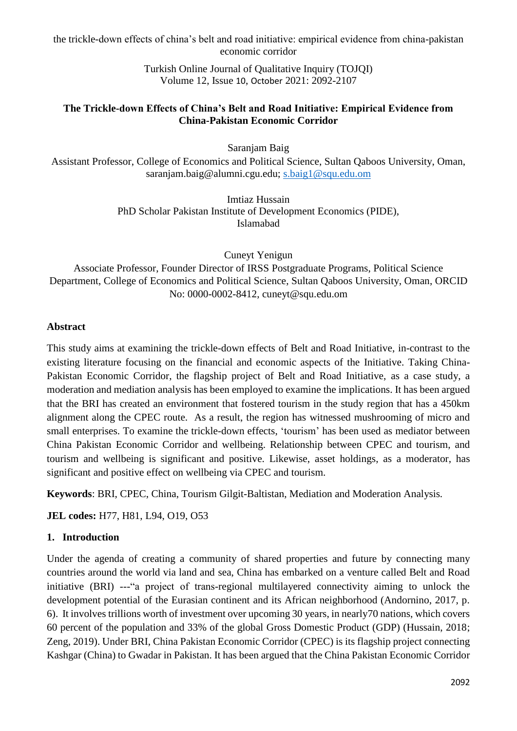> Turkish Online Journal of Qualitative Inquiry (TOJQI) Volume 12, Issue 10, October 2021: 2092-2107

## **The Trickle-down Effects of China's Belt and Road Initiative: Empirical Evidence from China-Pakistan Economic Corridor**

Saranjam Baig

Assistant Professor, College of Economics and Political Science, Sultan Qaboos University, Oman, saranjam.baig@alumni.cgu.edu; [s.baig1@squ.edu.om](mailto:s.baig1@squ.edu.om)

> Imtiaz Hussain PhD Scholar Pakistan Institute of Development Economics (PIDE), Islamabad

> > Cuneyt Yenigun

Associate Professor, Founder Director of IRSS Postgraduate Programs, Political Science Department, College of Economics and Political Science, Sultan Qaboos University, Oman, ORCID No: 0000-0002-8412, cuneyt@squ.edu.om

# **Abstract**

This study aims at examining the trickle-down effects of Belt and Road Initiative, in-contrast to the existing literature focusing on the financial and economic aspects of the Initiative. Taking China-Pakistan Economic Corridor, the flagship project of Belt and Road Initiative, as a case study, a moderation and mediation analysis has been employed to examine the implications. It has been argued that the BRI has created an environment that fostered tourism in the study region that has a 450km alignment along the CPEC route. As a result, the region has witnessed mushrooming of micro and small enterprises. To examine the trickle-down effects, 'tourism' has been used as mediator between China Pakistan Economic Corridor and wellbeing. Relationship between CPEC and tourism, and tourism and wellbeing is significant and positive. Likewise, asset holdings, as a moderator, has significant and positive effect on wellbeing via CPEC and tourism.

**Keywords**: BRI, CPEC, China, Tourism Gilgit-Baltistan, Mediation and Moderation Analysis*.* 

**JEL codes:** H77, H81, L94, O19, O53

# **1. Introduction**

Under the agenda of creating a community of shared properties and future by connecting many countries around the world via land and sea, China has embarked on a venture called Belt and Road initiative (BRI) ---"a project of trans-regional multilayered connectivity aiming to unlock the development potential of the Eurasian continent and its African neighborhood (Andornino, 2017, p. 6). It involves trillions worth of investment over upcoming 30 years, in nearly70 nations, which covers 60 percent of the population and 33% of the global Gross Domestic Product (GDP) (Hussain, 2018; Zeng, 2019). Under BRI, China Pakistan Economic Corridor (CPEC) is its flagship project connecting Kashgar (China) to Gwadar in Pakistan. It has been argued that the China Pakistan Economic Corridor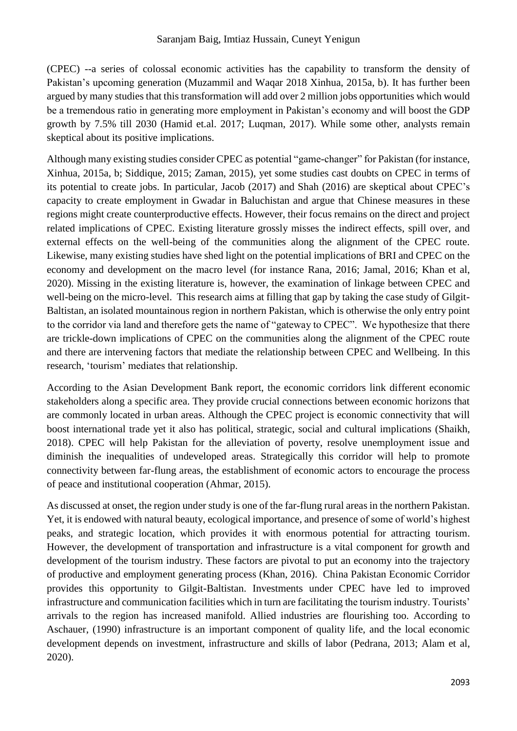(CPEC) --a series of colossal economic activities has the capability to transform the density of Pakistan's upcoming generation (Muzammil and Waqar 2018 Xinhua, 2015a, b). It has further been argued by many studies that this transformation will add over 2 million jobs opportunities which would be a tremendous ratio in generating more employment in Pakistan's economy and will boost the GDP growth by 7.5% till 2030 (Hamid et.al. 2017; Luqman, 2017). While some other, analysts remain skeptical about its positive implications.

Although many existing studies consider CPEC as potential "game-changer" for Pakistan (for instance, Xinhua, 2015a, b; Siddique, 2015; Zaman, 2015), yet some studies cast doubts on CPEC in terms of its potential to create jobs. In particular, Jacob (2017) and Shah (2016) are skeptical about CPEC's capacity to create employment in Gwadar in Baluchistan and argue that Chinese measures in these regions might create counterproductive effects. However, their focus remains on the direct and project related implications of CPEC. Existing literature grossly misses the indirect effects, spill over, and external effects on the well-being of the communities along the alignment of the CPEC route. Likewise, many existing studies have shed light on the potential implications of BRI and CPEC on the economy and development on the macro level (for instance Rana, 2016; Jamal, 2016; Khan et al, 2020). Missing in the existing literature is, however, the examination of linkage between CPEC and well-being on the micro-level. This research aims at filling that gap by taking the case study of Gilgit-Baltistan, an isolated mountainous region in northern Pakistan, which is otherwise the only entry point to the corridor via land and therefore gets the name of "gateway to CPEC". We hypothesize that there are trickle-down implications of CPEC on the communities along the alignment of the CPEC route and there are intervening factors that mediate the relationship between CPEC and Wellbeing. In this research, 'tourism' mediates that relationship.

According to the Asian Development Bank report, the economic corridors link different economic stakeholders along a specific area. They provide crucial connections between economic horizons that are commonly located in urban areas. Although the CPEC project is economic connectivity that will boost international trade yet it also has political, strategic, social and cultural implications (Shaikh, 2018). CPEC will help Pakistan for the alleviation of poverty, resolve unemployment issue and diminish the inequalities of undeveloped areas. Strategically this corridor will help to promote connectivity between far-flung areas, the establishment of economic actors to encourage the process of peace and institutional cooperation (Ahmar, 2015).

As discussed at onset, the region under study is one of the far-flung rural areas in the northern Pakistan. Yet, it is endowed with natural beauty, ecological importance, and presence of some of world's highest peaks, and strategic location, which provides it with enormous potential for attracting tourism. However, the development of transportation and infrastructure is a vital component for growth and development of the tourism industry. These factors are pivotal to put an economy into the trajectory of productive and employment generating process (Khan, 2016). China Pakistan Economic Corridor provides this opportunity to Gilgit-Baltistan. Investments under CPEC have led to improved infrastructure and communication facilities which in turn are facilitating the tourism industry. Tourists' arrivals to the region has increased manifold. Allied industries are flourishing too. According to Aschauer, (1990) infrastructure is an important component of quality life, and the local economic development depends on investment, infrastructure and skills of labor (Pedrana, 2013; Alam et al, 2020).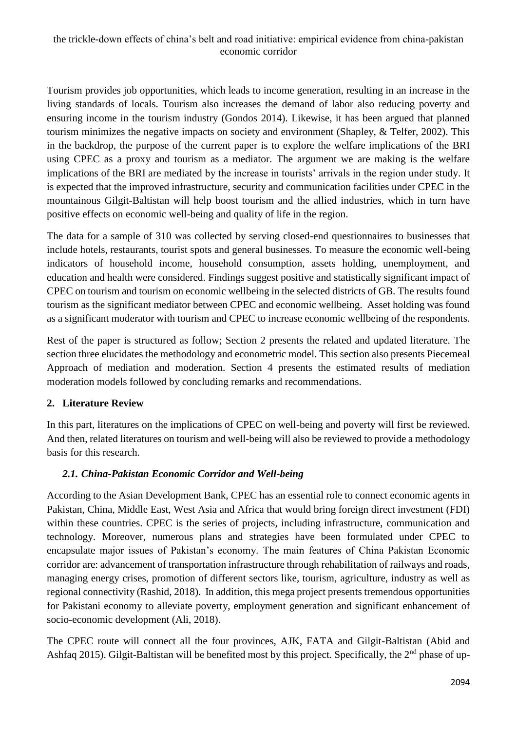Tourism provides job opportunities, which leads to income generation, resulting in an increase in the living standards of locals. Tourism also increases the demand of labor also reducing poverty and ensuring income in the tourism industry (Gondos 2014). Likewise, it has been argued that planned tourism minimizes the negative impacts on society and environment (Shapley, & Telfer, 2002). This in the backdrop, the purpose of the current paper is to explore the welfare implications of the BRI using CPEC as a proxy and tourism as a mediator. The argument we are making is the welfare implications of the BRI are mediated by the increase in tourists' arrivals in the region under study. It is expected that the improved infrastructure, security and communication facilities under CPEC in the mountainous Gilgit-Baltistan will help boost tourism and the allied industries, which in turn have positive effects on economic well-being and quality of life in the region.

The data for a sample of 310 was collected by serving closed-end questionnaires to businesses that include hotels, restaurants, tourist spots and general businesses. To measure the economic well-being indicators of household income, household consumption, assets holding, unemployment, and education and health were considered. Findings suggest positive and statistically significant impact of CPEC on tourism and tourism on economic wellbeing in the selected districts of GB. The results found tourism as the significant mediator between CPEC and economic wellbeing. Asset holding was found as a significant moderator with tourism and CPEC to increase economic wellbeing of the respondents.

Rest of the paper is structured as follow; Section 2 presents the related and updated literature. The section three elucidates the methodology and econometric model. This section also presents Piecemeal Approach of mediation and moderation. Section 4 presents the estimated results of mediation moderation models followed by concluding remarks and recommendations.

# **2. Literature Review**

In this part, literatures on the implications of CPEC on well-being and poverty will first be reviewed. And then, related literatures on tourism and well-being will also be reviewed to provide a methodology basis for this research.

# *2.1. China-Pakistan Economic Corridor and Well-being*

According to the Asian Development Bank, CPEC has an essential role to connect economic agents in Pakistan, China, Middle East, West Asia and Africa that would bring foreign direct investment (FDI) within these countries. CPEC is the series of projects, including infrastructure, communication and technology. Moreover, numerous plans and strategies have been formulated under CPEC to encapsulate major issues of Pakistan's economy. The main features of China Pakistan Economic corridor are: advancement of transportation infrastructure through rehabilitation of railways and roads, managing energy crises, promotion of different sectors like, tourism, agriculture, industry as well as regional connectivity (Rashid, 2018). In addition, this mega project presents tremendous opportunities for Pakistani economy to alleviate poverty, employment generation and significant enhancement of socio-economic development (Ali, 2018).

The CPEC route will connect all the four provinces, AJK, FATA and Gilgit-Baltistan (Abid and Ashfaq 2015). Gilgit-Baltistan will be benefited most by this project. Specifically, the  $2<sup>nd</sup>$  phase of up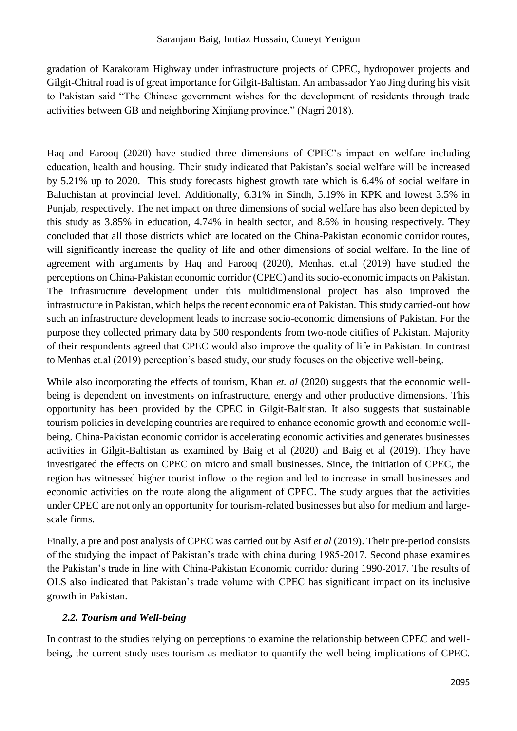gradation of Karakoram Highway under infrastructure projects of CPEC, hydropower projects and Gilgit-Chitral road is of great importance for Gilgit-Baltistan. An ambassador Yao Jing during his visit to Pakistan said "The Chinese government wishes for the development of residents through trade activities between GB and neighboring Xinjiang province." (Nagri 2018).

Haq and Farooq (2020) have studied three dimensions of CPEC's impact on welfare including education, health and housing. Their study indicated that Pakistan's social welfare will be increased by 5.21% up to 2020. This study forecasts highest growth rate which is 6.4% of social welfare in Baluchistan at provincial level. Additionally, 6.31% in Sindh, 5.19% in KPK and lowest 3.5% in Punjab, respectively. The net impact on three dimensions of social welfare has also been depicted by this study as 3.85% in education, 4.74% in health sector, and 8.6% in housing respectively. They concluded that all those districts which are located on the China-Pakistan economic corridor routes, will significantly increase the quality of life and other dimensions of social welfare. In the line of agreement with arguments by Haq and Farooq (2020), Menhas. et.al (2019) have studied the perceptions on China-Pakistan economic corridor (CPEC) and its socio-economic impacts on Pakistan. The infrastructure development under this multidimensional project has also improved the infrastructure in Pakistan, which helps the recent economic era of Pakistan. This study carried-out how such an infrastructure development leads to increase socio-economic dimensions of Pakistan. For the purpose they collected primary data by 500 respondents from two-node citifies of Pakistan. Majority of their respondents agreed that CPEC would also improve the quality of life in Pakistan. In contrast to Menhas et.al (2019) perception's based study, our study focuses on the objective well-being.

While also incorporating the effects of tourism, Khan *et. al* (2020) suggests that the economic wellbeing is dependent on investments on infrastructure, energy and other productive dimensions. This opportunity has been provided by the CPEC in Gilgit-Baltistan. It also suggests that sustainable tourism policies in developing countries are required to enhance economic growth and economic wellbeing. China-Pakistan economic corridor is accelerating economic activities and generates businesses activities in Gilgit-Baltistan as examined by Baig et al (2020) and Baig et al (2019). They have investigated the effects on CPEC on micro and small businesses. Since, the initiation of CPEC, the region has witnessed higher tourist inflow to the region and led to increase in small businesses and economic activities on the route along the alignment of CPEC. The study argues that the activities under CPEC are not only an opportunity for tourism-related businesses but also for medium and largescale firms.

Finally, a pre and post analysis of CPEC was carried out by Asif *et al* (2019). Their pre-period consists of the studying the impact of Pakistan's trade with china during 1985-2017. Second phase examines the Pakistan's trade in line with China-Pakistan Economic corridor during 1990-2017. The results of OLS also indicated that Pakistan's trade volume with CPEC has significant impact on its inclusive growth in Pakistan.

# *2.2. Tourism and Well-being*

In contrast to the studies relying on perceptions to examine the relationship between CPEC and wellbeing, the current study uses tourism as mediator to quantify the well-being implications of CPEC.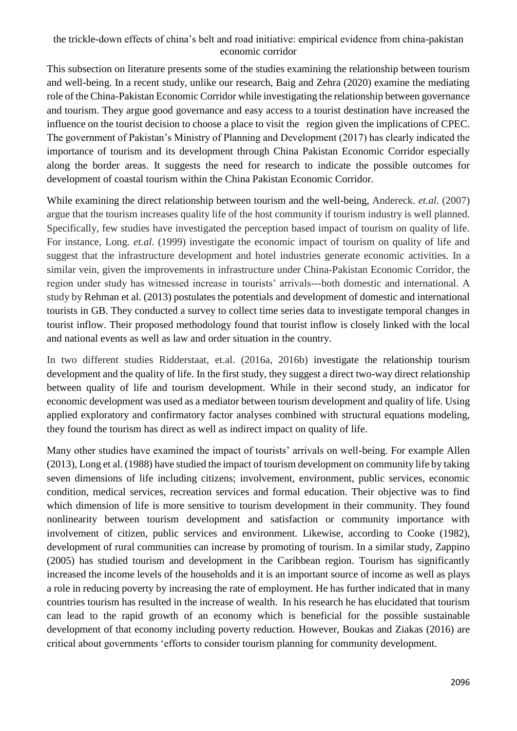This subsection on literature presents some of the studies examining the relationship between tourism and well-being. In a recent study, unlike our research, Baig and Zehra (2020) examine the mediating role of the China-Pakistan Economic Corridor while investigating the relationship between governance and tourism. They argue good governance and easy access to a tourist destination have increased the influence on the tourist decision to choose a place to visit the region given the implications of CPEC. The government of Pakistan's Ministry of Planning and Development (2017) has clearly indicated the importance of tourism and its development through China Pakistan Economic Corridor especially along the border areas. It suggests the need for research to indicate the possible outcomes for development of coastal tourism within the China Pakistan Economic Corridor.

While examining the direct relationship between tourism and the well-being, Andereck. *et.al*. (2007) argue that the tourism increases quality life of the host community if tourism industry is well planned. Specifically, few studies have investigated the perception based impact of tourism on quality of life. For instance, Long. *et.al.* (1999) investigate the economic impact of tourism on quality of life and suggest that the infrastructure development and hotel industries generate economic activities. In a similar vein, given the improvements in infrastructure under China-Pakistan Economic Corridor, the region under study has witnessed increase in tourists' arrivals---both domestic and international. A study by Rehman et al. (2013) postulates the potentials and development of domestic and international tourists in GB. They conducted a survey to collect time series data to investigate temporal changes in tourist inflow. Their proposed methodology found that tourist inflow is closely linked with the local and national events as well as law and order situation in the country.

In two different studies Ridderstaat, et.al. (2016a, 2016b) investigate the relationship tourism development and the quality of life. In the first study, they suggest a direct two-way direct relationship between quality of life and tourism development. While in their second study, an indicator for economic development was used as a mediator between tourism development and quality of life. Using applied exploratory and confirmatory factor analyses combined with structural equations modeling, they found the tourism has direct as well as indirect impact on quality of life.

Many other studies have examined the impact of tourists' arrivals on well-being. For example Allen (2013), Long et al. (1988) have studied the impact of tourism development on community life by taking seven dimensions of life including citizens; involvement, environment, public services, economic condition, medical services, recreation services and formal education. Their objective was to find which dimension of life is more sensitive to tourism development in their community. They found nonlinearity between tourism development and satisfaction or community importance with involvement of citizen, public services and environment. Likewise, according to Cooke (1982), development of rural communities can increase by promoting of tourism. In a similar study, Zappino (2005) has studied tourism and development in the Caribbean region. Tourism has significantly increased the income levels of the households and it is an important source of income as well as plays a role in reducing poverty by increasing the rate of employment. He has further indicated that in many countries tourism has resulted in the increase of wealth. In his research he has elucidated that tourism can lead to the rapid growth of an economy which is beneficial for the possible sustainable development of that economy including poverty reduction. However, Boukas and Ziakas (2016) are critical about governments 'efforts to consider tourism planning for community development.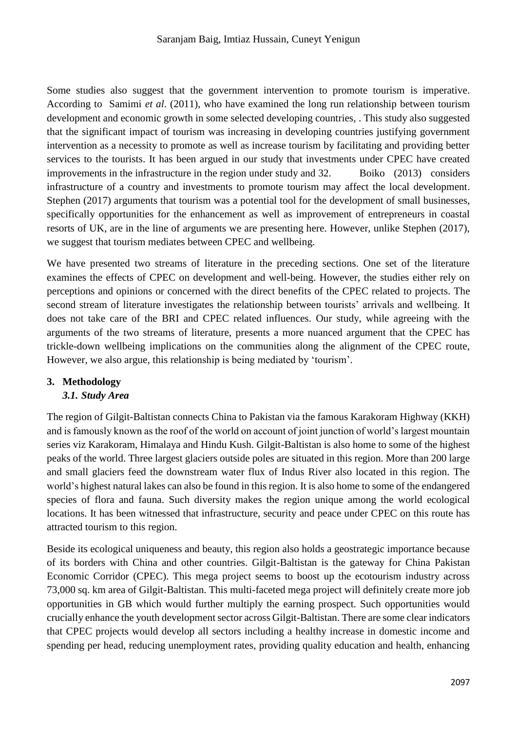Some studies also suggest that the government intervention to promote tourism is imperative. According to Samimi *et al*. (2011), who have examined the long run relationship between tourism development and economic growth in some selected developing countries, . This study also suggested that the significant impact of tourism was increasing in developing countries justifying government intervention as a necessity to promote as well as increase tourism by facilitating and providing better services to the tourists. It has been argued in our study that investments under CPEC have created improvements in the infrastructure in the region under study and 32. Boiko (2013) considers infrastructure of a country and investments to promote tourism may affect the local development. Stephen (2017) arguments that tourism was a potential tool for the development of small businesses, specifically opportunities for the enhancement as well as improvement of entrepreneurs in coastal resorts of UK, are in the line of arguments we are presenting here. However, unlike Stephen (2017), we suggest that tourism mediates between CPEC and wellbeing.

We have presented two streams of literature in the preceding sections. One set of the literature examines the effects of CPEC on development and well-being. However, the studies either rely on perceptions and opinions or concerned with the direct benefits of the CPEC related to projects. The second stream of literature investigates the relationship between tourists' arrivals and wellbeing. It does not take care of the BRI and CPEC related influences. Our study, while agreeing with the arguments of the two streams of literature, presents a more nuanced argument that the CPEC has trickle-down wellbeing implications on the communities along the alignment of the CPEC route, However, we also argue, this relationship is being mediated by 'tourism'.

# **3. Methodology**

# *3.1. Study Area*

The region of Gilgit-Baltistan connects China to Pakistan via the famous Karakoram Highway (KKH) and is famously known as the roof of the world on account of joint junction of world's largest mountain series viz Karakoram, Himalaya and Hindu Kush. Gilgit-Baltistan is also home to some of the highest peaks of the world. Three largest glaciers outside poles are situated in this region. More than 200 large and small glaciers feed the downstream water flux of Indus River also located in this region. The world's highest natural lakes can also be found in this region. It is also home to some of the endangered species of flora and fauna. Such diversity makes the region unique among the world ecological locations. It has been witnessed that infrastructure, security and peace under CPEC on this route has attracted tourism to this region.

Beside its ecological uniqueness and beauty, this region also holds a geostrategic importance because of its borders with China and other countries. Gilgit-Baltistan is the gateway for China Pakistan Economic Corridor (CPEC). This mega project seems to boost up the ecotourism industry across 73,000 sq. km area of Gilgit-Baltistan. This multi-faceted mega project will definitely create more job opportunities in GB which would further multiply the earning prospect. Such opportunities would crucially enhance the youth development sector across Gilgit-Baltistan. There are some clear indicators that CPEC projects would develop all sectors including a healthy increase in domestic income and spending per head, reducing unemployment rates, providing quality education and health, enhancing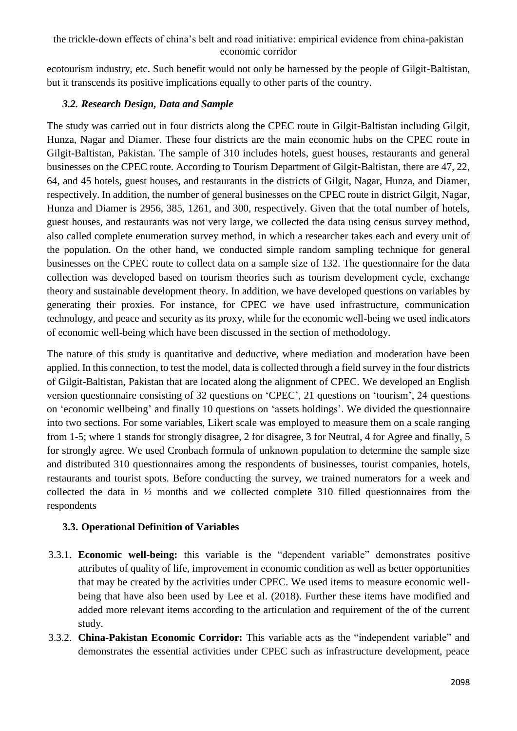ecotourism industry, etc. Such benefit would not only be harnessed by the people of Gilgit-Baltistan, but it transcends its positive implications equally to other parts of the country.

# *3.2. Research Design, Data and Sample*

The study was carried out in four districts along the CPEC route in Gilgit-Baltistan including Gilgit, Hunza, Nagar and Diamer. These four districts are the main economic hubs on the CPEC route in Gilgit-Baltistan, Pakistan. The sample of 310 includes hotels, guest houses, restaurants and general businesses on the CPEC route. According to Tourism Department of Gilgit-Baltistan, there are 47, 22, 64, and 45 hotels, guest houses, and restaurants in the districts of Gilgit, Nagar, Hunza, and Diamer, respectively. In addition, the number of general businesses on the CPEC route in district Gilgit, Nagar, Hunza and Diamer is 2956, 385, 1261, and 300, respectively. Given that the total number of hotels, guest houses, and restaurants was not very large, we collected the data using census survey method, also called complete enumeration survey method, in which a researcher takes each and every unit of the population. On the other hand, we conducted simple random sampling technique for general businesses on the CPEC route to collect data on a sample size of 132. The questionnaire for the data collection was developed based on tourism theories such as tourism development cycle, exchange theory and sustainable development theory. In addition, we have developed questions on variables by generating their proxies. For instance, for CPEC we have used infrastructure, communication technology, and peace and security as its proxy, while for the economic well-being we used indicators of economic well-being which have been discussed in the section of methodology.

The nature of this study is quantitative and deductive, where mediation and moderation have been applied. In this connection, to test the model, data is collected through a field survey in the four districts of Gilgit-Baltistan, Pakistan that are located along the alignment of CPEC. We developed an English version questionnaire consisting of 32 questions on 'CPEC', 21 questions on 'tourism', 24 questions on 'economic wellbeing' and finally 10 questions on 'assets holdings'. We divided the questionnaire into two sections. For some variables, Likert scale was employed to measure them on a scale ranging from 1-5; where 1 stands for strongly disagree, 2 for disagree, 3 for Neutral, 4 for Agree and finally, 5 for strongly agree. We used Cronbach formula of unknown population to determine the sample size and distributed 310 questionnaires among the respondents of businesses, tourist companies, hotels, restaurants and tourist spots. Before conducting the survey, we trained numerators for a week and collected the data in ½ months and we collected complete 310 filled questionnaires from the respondents

# **3.3. Operational Definition of Variables**

- 3.3.1. **Economic well-being:** this variable is the "dependent variable" demonstrates positive attributes of quality of life, improvement in economic condition as well as better opportunities that may be created by the activities under CPEC. We used items to measure economic wellbeing that have also been used by Lee et al. (2018). Further these items have modified and added more relevant items according to the articulation and requirement of the of the current study.
- 3.3.2. **China-Pakistan Economic Corridor:** This variable acts as the "independent variable" and demonstrates the essential activities under CPEC such as infrastructure development, peace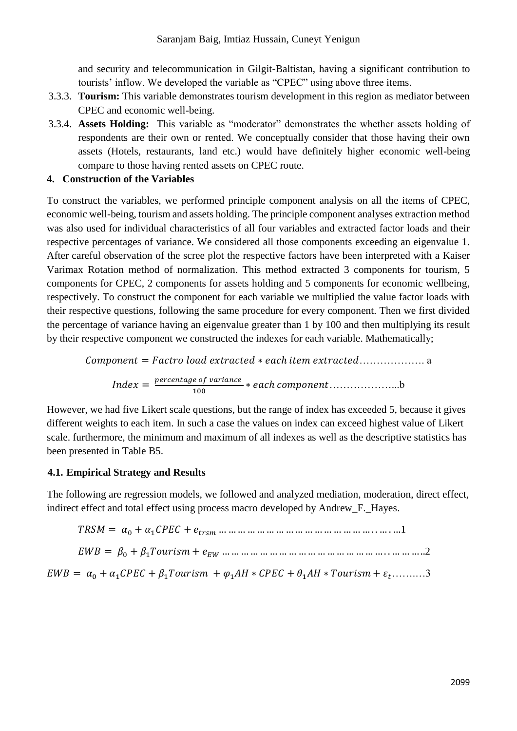and security and telecommunication in Gilgit-Baltistan, having a significant contribution to tourists' inflow. We developed the variable as "CPEC" using above three items.

- 3.3.3. **Tourism:** This variable demonstrates tourism development in this region as mediator between CPEC and economic well-being.
- 3.3.4. **Assets Holding:** This variable as "moderator" demonstrates the whether assets holding of respondents are their own or rented. We conceptually consider that those having their own assets (Hotels, restaurants, land etc.) would have definitely higher economic well-being compare to those having rented assets on CPEC route.

# **4. Construction of the Variables**

To construct the variables, we performed principle component analysis on all the items of CPEC, economic well-being, tourism and assets holding. The principle component analyses extraction method was also used for individual characteristics of all four variables and extracted factor loads and their respective percentages of variance. We considered all those components exceeding an eigenvalue 1. After careful observation of the scree plot the respective factors have been interpreted with a Kaiser Varimax Rotation method of normalization. This method extracted 3 components for tourism, 5 components for CPEC, 2 components for assets holding and 5 components for economic wellbeing, respectively. To construct the component for each variable we multiplied the value factor loads with their respective questions, following the same procedure for every component. Then we first divided the percentage of variance having an eigenvalue greater than 1 by 100 and then multiplying its result by their respective component we constructed the indexes for each variable. Mathematically;

 $Component = Factor load extracted * each item extracted .......$  $Index = \frac{percentage\ of\ variance}{100}$ 100 ∗ ℎ ………………...b

However, we had five Likert scale questions, but the range of index has exceeded 5, because it gives different weights to each item. In such a case the values on index can exceed highest value of Likert scale. furthermore, the minimum and maximum of all indexes as well as the descriptive statistics has been presented in Table B5.

# **4.1. Empirical Strategy and Results**

The following are regression models, we followed and analyzed mediation, moderation, direct effect, indirect effect and total effect using process macro developed by Andrew F. Hayes.

 $TRSM = \alpha_0 + \alpha_1 CPEC + e_{trsm}$  … … … … … … … … … … … … … … … … … … 1

= <sup>0</sup> + 1 + … … … … … … … … … … … … … … … … … . . … … … ..2

 $EWB = \alpha_0 + \alpha_1 CPEC + \beta_1 Tourism + \varphi_1 AH * CPEC + \theta_1 AH * Tourism + \varepsilon_t...........3$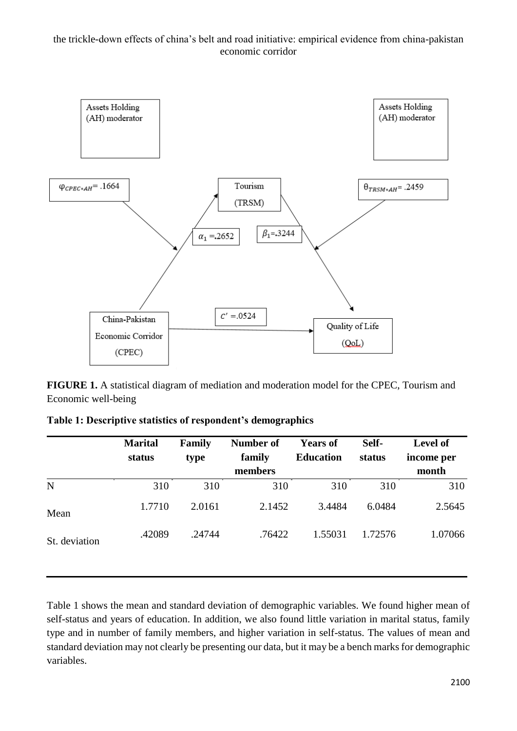

**FIGURE 1.** A statistical diagram of mediation and moderation model for the CPEC, Tourism and Economic well-being

| <b>Marital</b> | Family | <b>Number of</b> | <b>Years of</b> | Self-            | <b>Level of</b><br>income per |
|----------------|--------|------------------|-----------------|------------------|-------------------------------|
|                |        | members          |                 |                  | month                         |
| 310            | 310    | 310              | 310             | 310              | 310                           |
| 1.7710         | 2.0161 | 2.1452           | 3.4484          | 6.0484           | 2.5645                        |
| .42089         | .24744 | .76422           | 1.55031         | 1.72576          | 1.07066                       |
|                | status | type             | family          | <b>Education</b> | status                        |

|  |  | Table 1: Descriptive statistics of respondent's demographics |  |  |  |
|--|--|--------------------------------------------------------------|--|--|--|
|  |  |                                                              |  |  |  |

Table 1 shows the mean and standard deviation of demographic variables. We found higher mean of self-status and years of education. In addition, we also found little variation in marital status, family type and in number of family members, and higher variation in self-status. The values of mean and standard deviation may not clearly be presenting our data, but it may be a bench marks for demographic variables.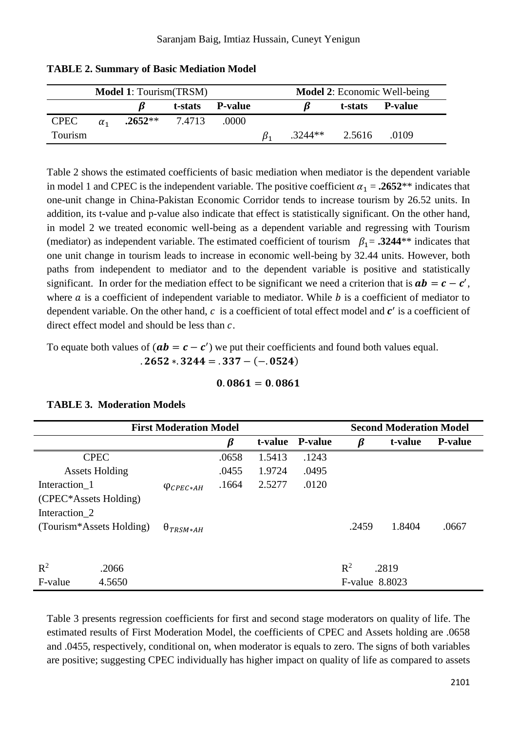| <b>Model 1: Tourism(TRSM)</b> |            |           |         |                | <b>Model 2:</b> Economic Well-being |           |         |                |  |
|-------------------------------|------------|-----------|---------|----------------|-------------------------------------|-----------|---------|----------------|--|
|                               |            |           | t-stats | <b>P-value</b> |                                     |           | t-stats | <b>P-value</b> |  |
| <b>CPEC</b>                   | $\alpha_1$ | $.2652**$ | 7.4713  | .0000          |                                     |           |         |                |  |
| Tourism                       |            |           |         |                |                                     | $.3244**$ | 2.5616  | .0109          |  |

### **TABLE 2. Summary of Basic Mediation Model**

Table 2 shows the estimated coefficients of basic mediation when mediator is the dependent variable in model 1 and CPEC is the independent variable. The positive coefficient  $\alpha_1 = .2652**$  indicates that one-unit change in China-Pakistan Economic Corridor tends to increase tourism by 26.52 units. In addition, its t-value and p-value also indicate that effect is statistically significant. On the other hand, in model 2 we treated economic well-being as a dependent variable and regressing with Tourism (mediator) as independent variable. The estimated coefficient of tourism  $\beta_1 = .3244**$  indicates that one unit change in tourism leads to increase in economic well-being by 32.44 units. However, both paths from independent to mediator and to the dependent variable is positive and statistically significant. In order for the mediation effect to be significant we need a criterion that is  $ab = c - c'$ , where  $a$  is a coefficient of independent variable to mediator. While  $b$  is a coefficient of mediator to dependent variable. On the other hand,  $c$  is a coefficient of total effect model and  $c'$  is a coefficient of direct effect model and should be less than  $c$ .

To equate both values of  $(ab = c - c')$  we put their coefficients and found both values equal.

$$
.2652*.3244 = .337 - (-.0524)
$$

#### $0.0861 = 0.0861$

|                          |             |                     | <b>Second Moderation Model</b> |         |                |                |         |                |
|--------------------------|-------------|---------------------|--------------------------------|---------|----------------|----------------|---------|----------------|
|                          |             |                     | $\boldsymbol{\beta}$           | t-value | <b>P-value</b> | ß              | t-value | <b>P-value</b> |
|                          | <b>CPEC</b> |                     | .0658                          | 1.5413  | .1243          |                |         |                |
| <b>Assets Holding</b>    |             |                     | .0455                          | 1.9724  | .0495          |                |         |                |
| Interaction 1            |             | $\varphi_{CPEC*AH}$ | .1664                          | 2.5277  | .0120          |                |         |                |
| (CPEC*Assets Holding)    |             |                     |                                |         |                |                |         |                |
| Interaction 2            |             |                     |                                |         |                |                |         |                |
| (Tourism*Assets Holding) |             | $\Theta_{TRSM*AH}$  |                                |         |                | .2459          | 1.8404  | .0667          |
|                          |             |                     |                                |         |                |                |         |                |
| $R^2$<br>.2066           |             |                     |                                |         |                | $R^2$          | .2819   |                |
| F-value<br>4.5650        |             |                     |                                |         |                | F-value 8.8023 |         |                |

#### **TABLE 3. Moderation Models**

Table 3 presents regression coefficients for first and second stage moderators on quality of life. The estimated results of First Moderation Model, the coefficients of CPEC and Assets holding are .0658 and .0455, respectively, conditional on, when moderator is equals to zero. The signs of both variables are positive; suggesting CPEC individually has higher impact on quality of life as compared to assets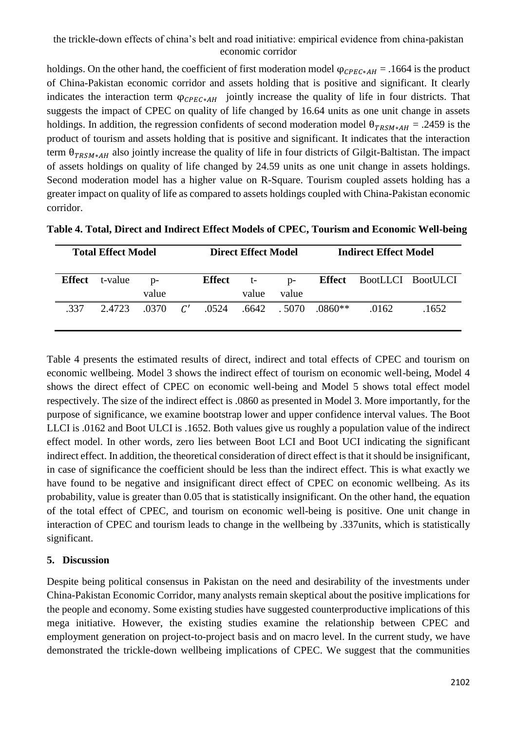holdings. On the other hand, the coefficient of first moderation model  $\varphi_{CPEC*AH} = .1664$  is the product of China-Pakistan economic corridor and assets holding that is positive and significant. It clearly indicates the interaction term  $\varphi_{CPEC*AH}$  jointly increase the quality of life in four districts. That suggests the impact of CPEC on quality of life changed by 16.64 units as one unit change in assets holdings. In addition, the regression confidents of second moderation model  $\theta_{TRSM*AH} = .2459$  is the product of tourism and assets holding that is positive and significant. It indicates that the interaction term  $\theta_{TRSM*AH}$  also jointly increase the quality of life in four districts of Gilgit-Baltistan. The impact of assets holdings on quality of life changed by 24.59 units as one unit change in assets holdings. Second moderation model has a higher value on R-Square. Tourism coupled assets holding has a greater impact on quality of life as compared to assets holdings coupled with China-Pakistan economic corridor.

|      | <b>Total Effect Model</b> |                |    | <b>Direct Effect Model</b> |               |                | <b>Indirect Effect Model</b> |                                 |       |
|------|---------------------------|----------------|----|----------------------------|---------------|----------------|------------------------------|---------------------------------|-------|
|      | <b>Effect</b> t-value     | $D -$<br>value |    | <b>Effect</b>              | $t-$<br>value | $D$ -<br>value |                              | <b>Effect</b> BootLLCI BootULCI |       |
| -337 | 2.4723                    | - 0370-        | C' | .0524                      |               |                | $.6642$ $.5070$ $.0860**$    | .0162                           | .1652 |

**Table 4. Total, Direct and Indirect Effect Models of CPEC, Tourism and Economic Well-being**

Table 4 presents the estimated results of direct, indirect and total effects of CPEC and tourism on economic wellbeing. Model 3 shows the indirect effect of tourism on economic well-being, Model 4 shows the direct effect of CPEC on economic well-being and Model 5 shows total effect model respectively. The size of the indirect effect is .0860 as presented in Model 3. More importantly, for the purpose of significance, we examine bootstrap lower and upper confidence interval values. The Boot LLCI is .0162 and Boot ULCI is .1652. Both values give us roughly a population value of the indirect effect model. In other words, zero lies between Boot LCI and Boot UCI indicating the significant indirect effect. In addition, the theoretical consideration of direct effect is that it should be insignificant, in case of significance the coefficient should be less than the indirect effect. This is what exactly we have found to be negative and insignificant direct effect of CPEC on economic wellbeing. As its probability, value is greater than 0.05 that is statistically insignificant. On the other hand, the equation of the total effect of CPEC, and tourism on economic well-being is positive. One unit change in interaction of CPEC and tourism leads to change in the wellbeing by .337units, which is statistically significant.

# **5. Discussion**

Despite being political consensus in Pakistan on the need and desirability of the investments under China-Pakistan Economic Corridor, many analysts remain skeptical about the positive implications for the people and economy. Some existing studies have suggested counterproductive implications of this mega initiative. However, the existing studies examine the relationship between CPEC and employment generation on project-to-project basis and on macro level. In the current study, we have demonstrated the trickle-down wellbeing implications of CPEC. We suggest that the communities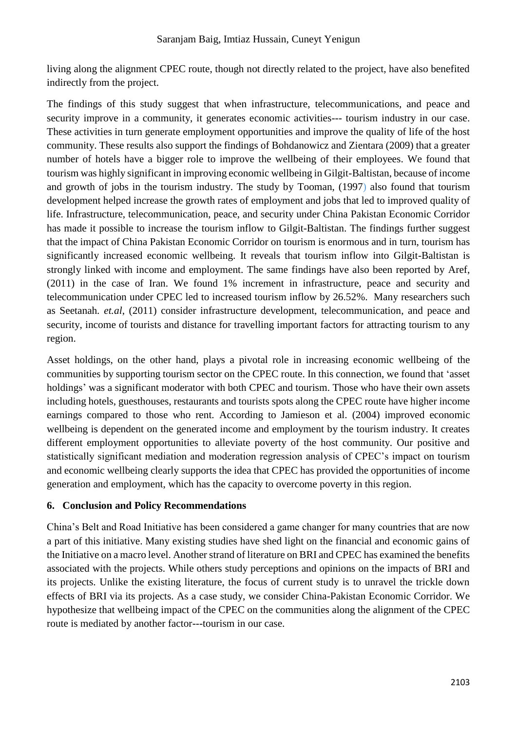living along the alignment CPEC route, though not directly related to the project, have also benefited indirectly from the project.

The findings of this study suggest that when infrastructure, telecommunications, and peace and security improve in a community, it generates economic activities--- tourism industry in our case. These activities in turn generate employment opportunities and improve the quality of life of the host community. These results also support the findings of Bohdanowicz and Zientara (2009) that a greater number of hotels have a bigger role to improve the wellbeing of their employees. We found that tourism was highly significant in improving economic wellbeing in Gilgit-Baltistan, because of income and growth of jobs in the tourism industry. The study by Tooman, (1997) also found that tourism development helped increase the growth rates of employment and jobs that led to improved quality of life. Infrastructure, telecommunication, peace, and security under China Pakistan Economic Corridor has made it possible to increase the tourism inflow to Gilgit-Baltistan. The findings further suggest that the impact of China Pakistan Economic Corridor on tourism is enormous and in turn, tourism has significantly increased economic wellbeing. It reveals that tourism inflow into Gilgit-Baltistan is strongly linked with income and employment. The same findings have also been reported by Aref, (2011) in the case of Iran. We found 1% increment in infrastructure, peace and security and telecommunication under CPEC led to increased tourism inflow by 26.52%. Many researchers such as Seetanah*. et.al*, (2011) consider infrastructure development, telecommunication, and peace and security, income of tourists and distance for travelling important factors for attracting tourism to any region.

Asset holdings, on the other hand, plays a pivotal role in increasing economic wellbeing of the communities by supporting tourism sector on the CPEC route. In this connection, we found that 'asset holdings' was a significant moderator with both CPEC and tourism. Those who have their own assets including hotels, guesthouses, restaurants and tourists spots along the CPEC route have higher income earnings compared to those who rent. According to Jamieson et al. (2004) improved economic wellbeing is dependent on the generated income and employment by the tourism industry. It creates different employment opportunities to alleviate poverty of the host community. Our positive and statistically significant mediation and moderation regression analysis of CPEC's impact on tourism and economic wellbeing clearly supports the idea that CPEC has provided the opportunities of income generation and employment, which has the capacity to overcome poverty in this region.

# **6. Conclusion and Policy Recommendations**

China's Belt and Road Initiative has been considered a game changer for many countries that are now a part of this initiative. Many existing studies have shed light on the financial and economic gains of the Initiative on a macro level. Another strand of literature on BRI and CPEC has examined the benefits associated with the projects. While others study perceptions and opinions on the impacts of BRI and its projects. Unlike the existing literature, the focus of current study is to unravel the trickle down effects of BRI via its projects. As a case study, we consider China-Pakistan Economic Corridor. We hypothesize that wellbeing impact of the CPEC on the communities along the alignment of the CPEC route is mediated by another factor---tourism in our case.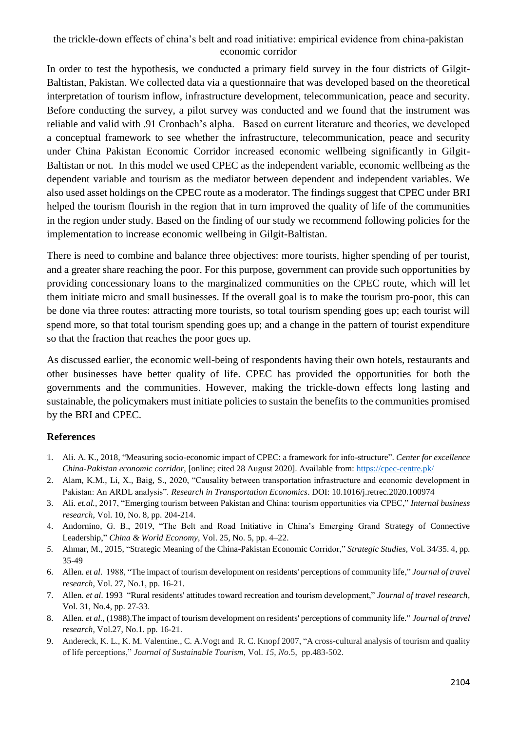In order to test the hypothesis, we conducted a primary field survey in the four districts of Gilgit-Baltistan, Pakistan. We collected data via a questionnaire that was developed based on the theoretical interpretation of tourism inflow, infrastructure development, telecommunication, peace and security. Before conducting the survey, a pilot survey was conducted and we found that the instrument was reliable and valid with .91 Cronbach's alpha. Based on current literature and theories, we developed a conceptual framework to see whether the infrastructure, telecommunication, peace and security under China Pakistan Economic Corridor increased economic wellbeing significantly in Gilgit-Baltistan or not. In this model we used CPEC as the independent variable, economic wellbeing as the dependent variable and tourism as the mediator between dependent and independent variables. We also used asset holdings on the CPEC route as a moderator. The findings suggest that CPEC under BRI helped the tourism flourish in the region that in turn improved the quality of life of the communities in the region under study. Based on the finding of our study we recommend following policies for the implementation to increase economic wellbeing in Gilgit-Baltistan.

There is need to combine and balance three objectives: more tourists, higher spending of per tourist, and a greater share reaching the poor. For this purpose, government can provide such opportunities by providing concessionary loans to the marginalized communities on the CPEC route, which will let them initiate micro and small businesses. If the overall goal is to make the tourism pro-poor, this can be done via three routes: attracting more tourists, so total tourism spending goes up; each tourist will spend more, so that total tourism spending goes up; and a change in the pattern of tourist expenditure so that the fraction that reaches the poor goes up.

As discussed earlier, the economic well-being of respondents having their own hotels, restaurants and other businesses have better quality of life. CPEC has provided the opportunities for both the governments and the communities. However, making the trickle-down effects long lasting and sustainable, the policymakers must initiate policies to sustain the benefits to the communities promised by the BRI and CPEC.

### **References**

- 1. Ali. A. K., 2018, "Measuring socio-economic impact of CPEC: a framework for info-structure". *Center for excellence China-Pakistan economic corridor,* [online; cited 28 August 2020]. Available from:<https://cpec-centre.pk/>
- 2. Alam, K.M., Li, X., Baig, S., 2020, "Causality between transportation infrastructure and economic development in Pakistan: An ARDL analysis". *Research in Transportation Economics*. DOI: 10.1016/j.retrec.2020.100974
- 3. Ali. *et.al.,* 2017, "Emerging tourism between Pakistan and China: tourism opportunities via CPEC," *Internal business research*, Vol. 10, No. 8, pp. 204-214.
- 4. Andornino, G. B., 2019, "The Belt and Road Initiative in China's Emerging Grand Strategy of Connective Leadership," *China & World Economy*, Vol. 25, No. 5, pp. 4–22.
- *5.* Ahmar, M., 2015, "Strategic Meaning of the China-Pakistan Economic Corridor," *Strategic Studies,* Vol. 34/35. 4, pp. 35-49
- 6. Allen. *et al*. 1988, "The impact of tourism development on residents' perceptions of community life," *Journal of travel research*, Vol. 27, No.1, pp. 16-21.
- 7. Allen. *et al*. 1993 "Rural residents' attitudes toward recreation and tourism development," *Journal of travel research,*  Vol. 31, No.4, pp. 27-33.
- 8. Allen. *et al.,* (1988).The impact of tourism development on residents' perceptions of community life." *Journal of travel research*, Vol.27, No.1. pp. 16-21.
- 9. Andereck, K. L., K. M. Valentine., C. A.Vogt and R. C. Knopf 2007, "A cross-cultural analysis of tourism and quality of life perceptions," *Journal of Sustainable Tourism*, Vol. *15, No.*5, pp.483-502.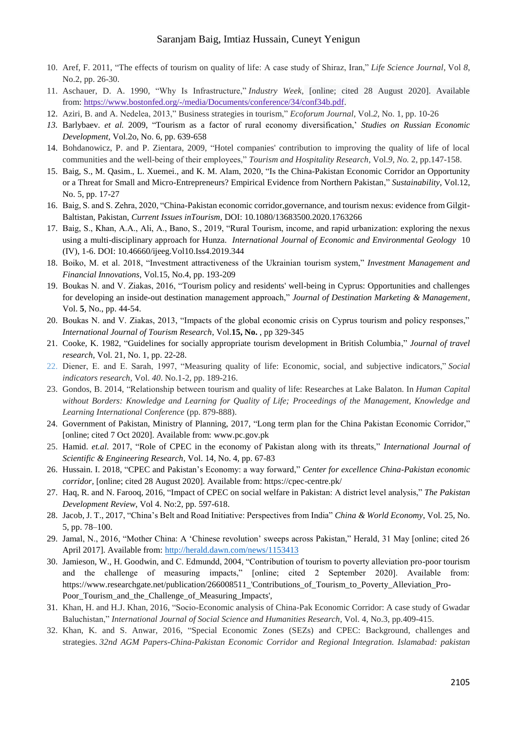#### Saranjam Baig, Imtiaz Hussain, Cuneyt Yenigun

- 10. Aref, F. 2011, "The effects of tourism on quality of life: A case study of Shiraz, Iran," *Life Science Journal*, Vol *8*, No.2, pp. 26-30.
- 11. Aschauer, D. A. 1990, "Why Is Infrastructure," *Industry Week,* [online; cited 28 August 2020]. Available from: [https://www.bostonfed.org/-/media/Documents/conference/34/conf34b.pdf.](https://www.bostonfed.org/-/media/Documents/conference/34/conf34b.pdf)
- 12. Aziri, B. and A. Nedelea, 2013," Business strategies in tourism," *Ecoforum Journal*, Vol.*2*, No. 1, pp. 10-26
- *13.* Barlybaev. *et al.* 2009, "Tourism as a factor of rural economy diversification,' *Studies on Russian Economic Development,* Vol.2o, No. 6, pp. 639-658
- 14. Bohdanowicz, P. and P. Zientara, 2009, "Hotel companies' contribution to improving the quality of life of local communities and the well-being of their employees," *Tourism and Hospitality Research*, Vol.*9, No.* 2, pp.147-158.
- 15. Baig, S., M. Qasim., L. Xuemei., and K. M. Alam, 2020, "Is the China-Pakistan Economic Corridor an Opportunity or a Threat for Small and Micro-Entrepreneurs? Empirical Evidence from Northern Pakistan," *Sustainability*, Vol.12, No. 5, pp. 17-27
- 16. Baig, S. and S. Zehra, 2020, "China-Pakistan economic corridor,governance, and tourism nexus: evidence from Gilgit-Baltistan, Pakistan, *Current Issues inTourism*, DOI: 10.1080/13683500.2020.1763266
- 17. Baig, S., Khan, A.A., Ali, A., Bano, S., 2019, "Rural Tourism, income, and rapid urbanization: exploring the nexus using a multi-disciplinary approach for Hunza. *International Journal of Economic and Environmental Geology* 10 (IV), 1-6. DOI: 10.46660/ijeeg.Vol10.Iss4.2019.344
- 18. Boiko, M. et al. 2018, "Investment attractiveness of the Ukrainian tourism system," *Investment Management and Financial Innovations*, Vol.15, No.4, pp. 193-209
- 19. Boukas N. and V. Ziakas, 2016, "Tourism policy and residents' well-being in Cyprus: Opportunities and challenges for developing an inside-out destination management approach," *Journal of Destination Marketing & Management*, Vol. **5**, No., pp. 44-54.
- 20. Boukas N. and V. Ziakas, 2013, "Impacts of the global economic crisis on Cyprus tourism and policy responses," *International Journal of Tourism Research*, Vol.**15, No.** , pp 329-345
- 21. Cooke, K. 1982, "Guidelines for socially appropriate tourism development in British Columbia," *Journal of travel research*, Vol. 21, No. 1, pp. 22-28.
- 22. Diener, E. and E. Sarah, 1997, "Measuring quality of life: Economic, social, and subjective indicators," *Social indicators research*, Vol. *40*. No.1-2, pp. 189-216.
- 23. Gondos, B. 2014, "Relationship between tourism and quality of life: Researches at Lake Balaton. In *Human Capital without Borders: Knowledge and Learning for Quality of Life; Proceedings of the Management, Knowledge and Learning International Conference* (pp. 879-888).
- 24. Government of Pakistan, Ministry of Planning, 2017, "Long term plan for the China Pakistan Economic Corridor," [online; cited 7 Oct 2020]. Available from: www.pc.gov.pk
- 25. Hamid. *et.al.* 2017, "Role of CPEC in the economy of Pakistan along with its threats," *International Journal of Scientific & Engineering Research*, Vol. 14, No. 4, pp. 67-83
- 26. Hussain. I. 2018, "CPEC and Pakistan's Economy: a way forward," *Center for excellence China-Pakistan economic corridor,* [online; cited 28 August 2020]. Available from: https://cpec-centre.pk/
- 27. Haq, R. and N. Farooq, 2016, "Impact of CPEC on social welfare in Pakistan: A district level analysis," *The Pakistan Development Review*, Vol 4. No:2, pp. 597-618.
- 28. Jacob, J. T., 2017, "China's Belt and Road Initiative: Perspectives from India" *China & World Economy*, Vol. 25, No. 5, pp. 78–100.
- 29. Jamal, N., 2016, "Mother China: A 'Chinese revolution' sweeps across Pakistan," Herald, 31 May [online; cited 26 April 2017]. Available from:<http://herald.dawn.com/news/1153413>
- 30. Jamieson, W., H. Goodwin, and C. Edmundd, 2004, "Contribution of tourism to poverty alleviation pro-poor tourism and the challenge of measuring impacts," [online; cited 2 September 2020]. Available from: https://www.researchgate.net/publication/266008511 'Contributions of Tourism to Poverty Alleviation Pro-Poor\_Tourism\_and\_the\_Challenge\_of\_Measuring\_Impacts',
- 31. Khan, H. and H.J. Khan, 2016, "Socio-Economic analysis of China-Pak Economic Corridor: A case study of Gwadar Baluchistan," *International Journal of Social Science and Humanities Research*, Vol. 4, No.3, pp.409-415.
- 32. Khan, K. and S. Anwar, 2016, "Special Economic Zones (SEZs) and CPEC: Background, challenges and strategies. *32nd AGM Papers-China-Pakistan Economic Corridor and Regional Integration. Islamabad: pakistan*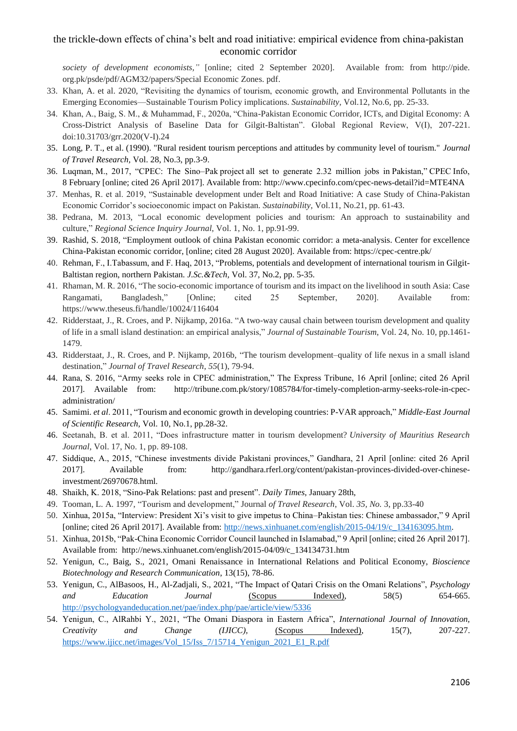*society of development economists,"* [online; cited 2 September 2020]. Available from: from http://pide. org.pk/psde/pdf/AGM32/papers/Special Economic Zones. pdf.

- 33. Khan, A. et al. 2020, "Revisiting the dynamics of tourism, economic growth, and Environmental Pollutants in the Emerging Economies—Sustainable Tourism Policy implications. *Sustainability,* Vol.12, No.6, pp. 25-33.
- 34. Khan, A., Baig, S. M., & Muhammad, F., 2020a, "China-Pakistan Economic Corridor, ICTs, and Digital Economy: A Cross-District Analysis of Baseline Data for Gilgit-Baltistan". Global Regional Review, V(I), 207-221. doi:10.31703/grr.2020(V-I).24
- 35. Long, P. T., et al. (1990). "Rural resident tourism perceptions and attitudes by community level of tourism." *Journal of Travel Research,* Vol. 28, No.3, pp.3-9.
- 36. Luqman, M., 2017, "CPEC: The Sino–Pak project all set to generate 2.32 million jobs in Pakistan," CPEC Info, 8 February [online; cited 26 April 2017]. Available from: http://www.cpecinfo.com/cpec-news-detail?id=MTE4NA
- 37. Menhas, R. et al. 2019, "Sustainable development under Belt and Road Initiative: A case Study of China-Pakistan Economic Corridor's socioeconomic impact on Pakistan. *Sustainability*, Vol.11, No.21, pp. 61-43.
- 38. Pedrana, M. 2013, "Local economic development policies and tourism: An approach to sustainability and culture," *Regional Science Inquiry Journal*, Vol. 1, No. 1, pp.91-99.
- 39. Rashid, S. 2018, "Employment outlook of china Pakistan economic corridor: a meta-analysis. Center for excellence China-Pakistan economic corridor, [online; cited 28 August 2020]. Available from: https://cpec-centre.pk/
- 40. Rehman, F., I.Tabassum, and F. Haq, 2013, "Problems, potentials and development of international tourism in Gilgit-Baltistan region, northern Pakistan. *J.Sc.&Tech,* Vol. 37, No.2, pp. 5-35.
- 41. Rhaman, M. R. 2016, "The socio-economic importance of tourism and its impact on the livelihood in south Asia: Case Rangamati, Bangladesh," [Online; cited 25 September, 2020]. Available from: https://www.theseus.fi/handle/10024/116404
- 42. Ridderstaat, J., R. Croes, and P. Nijkamp, 2016a. "A two-way causal chain between tourism development and quality of life in a small island destination: an empirical analysis," *Journal of Sustainable Tourism*, Vol. 24, No. 10, pp.1461- 1479.
- 43. Ridderstaat, J., R. Croes, and P. Nijkamp, 2016b, "The tourism development–quality of life nexus in a small island destination," *Journal of Travel Research*, *55*(1), 79-94.
- 44. Rana, S. 2016, "Army seeks role in CPEC administration," The Express Tribune, 16 April [online; cited 26 April 2017]. Available from: http://tribune.com.pk/story/1085784/for-timely-completion-army-seeks-role-in-cpecadministration/
- 45. Samimi. *et al*. 2011, "Tourism and economic growth in developing countries: P-VAR approach," *Middle-East Journal of Scientific Research*, Vol. 10, No.1, pp.28-32.
- 46. Seetanah, B. et al. 2011, "Does infrastructure matter in tourism development? *University of Mauritius Research Journal*, Vol. 17, No. 1, pp. 89-108.
- 47. Siddique, A., 2015, "Chinese investments divide Pakistani provinces," Gandhara, 21 April [online: cited 26 April 2017]. Available from: http://gandhara.rferl.org/content/pakistan-provinces-divided-over-chineseinvestment/26970678.html.
- 48. Shaikh, K. 2018, "Sino-Pak Relations: past and present". *Daily Times*, January 28th,
- 49. Tooman, L. A. 1997, "Tourism and development," Journal *of Travel Research*, Vol. *35, No.* 3, pp.33-40
- 50. Xinhua, 2015a, "Interview: President Xi's visit to give impetus to China–Pakistan ties: Chinese ambassador," 9 April [online; cited 26 April 2017]. Available from: [http://news.xinhuanet.com/english/2015-04/19/c\\_134163095.htm.](http://news.xinhuanet.com/english/2015-04/19/c_134163095.htm)
- 51. Xinhua, 2015b, "Pak-China Economic Corridor Council launched in Islamabad," 9 April [online; cited 26 April 2017]. Available from: http://news.xinhuanet.com/english/2015-04/09/c\_134134731.htm
- 52. Yenigun, C., Baig, S., 2021, Omani Renaissance in International Relations and Political Economy, *Bioscience Biotechnology and Research Communication*, 13(15), 78-86.
- 53. Yenigun, C., AlBasoos, H., Al-Zadjali, S., 2021, "The Impact of Qatari Crisis on the Omani Relations", *Psychology and Education Journal* (Scopus Indexed), 58(5) 654-665. <http://psychologyandeducation.net/pae/index.php/pae/article/view/5336>
- 54. Yenigun, C., AlRahbi Y., 2021, "The Omani Diaspora in Eastern Africa", *International Journal of Innovation, Creativity and Change (IJICC),* (Scopus Indexed), 15(7), 207-227. [https://www.ijicc.net/images/Vol\\_15/Iss\\_7/15714\\_Yenigun\\_2021\\_E1\\_R.pdf](https://www.ijicc.net/images/Vol_15/Iss_7/15714_Yenigun_2021_E1_R.pdf)